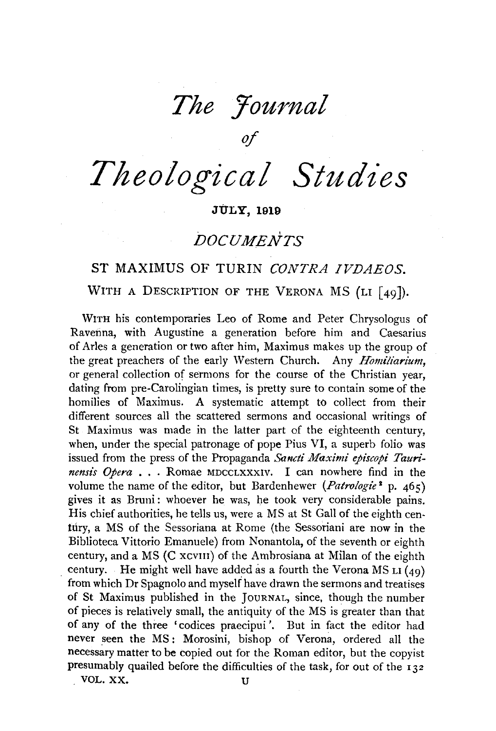*The Journal* 

*of* 

*Theological Studies* 

# **JULY, 1919**

# *DOCUMENTS*

# ST MAXIMUS OF TURIN *CONTRA IVDAEOS.*  WITH A DESCRIPTION OF THE VERONA MS (LI  $\lceil 49 \rceil$ ).

WITH his contemporaries Leo of Rome and Peter Chrysologus of Ravenna, with Augustine a generation before him and Caesarius of Arles a generation or two after him, Maximus makes up the group of the great preachers of the early Western Church. Any *Homiliarium,*  or general collection of sermons for the course of the Christian year, dating from pre-Carolingian times, is pretty sure to contain some of the homilies of Maximus. A systematic attempt to collect from their different sources all the scattered sermons and occasional writings of St Maximus was made in the latter part of the eighteenth century, when, under the special patronage of pope Pius  $VI$ , a superb folio was issued from the press of the Propaganda *Sancti Maximi episcopi Taurinensis Opera* . . . Romae MDCCLXXXIV. I can nowhere find in the volume the name of the editor, but Bardenhewer *(Patrologie*<sup>2</sup> p. 465) gives it as Bruni: whoever he was, he took very considerable pains. His chief authorities, he tells us, were a MS at St Gall of the eighth century, a MS of the Sessoriana at Rome (the Sessoriani are now in the Biblioteca Vittorio Emanuele) from Nonantola, of the seventh or eighth century, and a MS (C xcvIII) of the Ambrosiana at Milan of the eighth century. He might well have added as a fourth the Verona MS LI  $(49)$ from which Dr Spagnolo and myself have drawn the sermons and treatises of St Maximus published in the JoURNAL, since, though the number of pieces is relatively small, the antiquity of the MS is greater than that of any of the three 'codices praecipui '. But in fact the editor had never seen the MS: Morosini, bishop of Verona, ordered all the necessary matter to be copied out for the Roman editor, but the copyist presumably quailed before the difficulties of the task, for out of the 132 . VOL. XX. U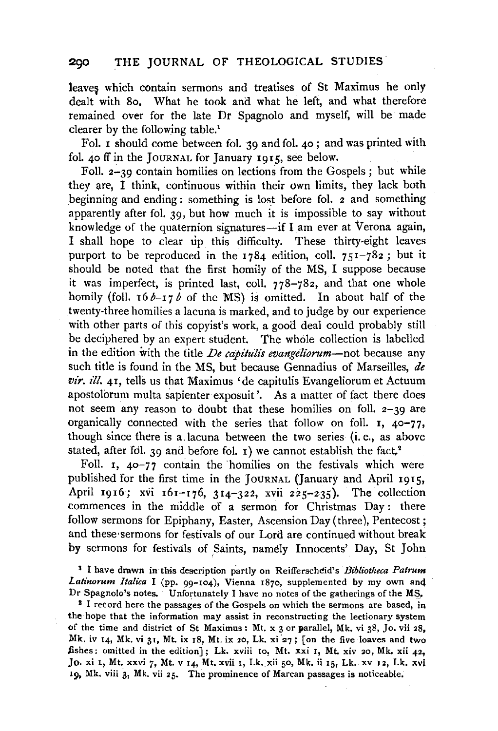leaves which contain sermons and treatises of St Maximus he only dealt with 8o, What he took and what he left, and what therefore remained over for the late Dr Spagnolo and myself, will be made clearer by the following table.1

Fol. I should come between fol. *39* and fol. 40 ; and was printed with fol. 40 ff in the JOURNAL for January 1915, see below.

Foll. 2-39 contain homilies on lections from the Gospels; but while they are, I think, continuous within their own limits, they lack both beginning and ending: something is lost before fol. 2 and something apparently after fol. 39, but how much it is impossible to say without knowledge of the quaternion signatures-if I am ever at Verona again, I shall hope to clear up this difficulty. These thirty-eight leaves purport to be reproduced in the  $1784$  edition, coll.  $751-782$ ; but it should be noted that the first homily of the MS, I suppose because it was imperfect, is printed last, coll. 778-782, and that one whole homily (foll.  $16 b - 17 b$  of the MS) is omitted. In about half of the twenty-three homilies a lacuna is marked, and to judge by our experience with other parts of this copyist's work, a good deal could probably still be deciphered by an expert student. The whole collection is labelled in the edition with the title *De capitulis evangeliorum-not* because any such title is found in the MS, but because Gennadius of Marseilles, *de vir. ill.* 4I, tells us that 'Maximus 'de capitulis Evangeliorum et Actuum apostolorum multa sapienter exposuit'. As a matter of fact there does not seem any reason to doubt that these homilies on foll. 2-39 are organically connected with the series that follow on foil. I, 40-77, though since there is a. lacuna between the two series (i.e., as above stated, after fol. 39 and before fol.  $\iota$ ) we cannot establish the fact,<sup>2</sup>

Foll. I, 40-77 contain the 'homilies on the festivals which were published for the first time in the JoURNAL (January and April 1915, April 1916; xvi  $161 - 176$ , 314-322, xvii 225-235). The collection commences in the middle of a sermon for Christmas Day: there follow sermons for Epiphany, Easter, Ascension Day (three), Pentecost; and these·sermons for festivals of our Lord are continued without break by sermons for festivals of Saints, namely Innocents' Day, St John

<sup>1</sup> I have drawn in this description partly on Reifferscheid's *Bibliotheca Patrum Latinorum ltalica* I (pp. 99-104), Vienna 1870, supplemented by my own an4

Dr Spagnolo's notes. Unfortunately I have no notes of the gatherings of the MS,.<br><sup>2</sup> I record here the passages of the Gospels on which the sermons are based, in the hope that the information may assist in reconstructing the lectionary system of the time and district of St Maximus: Mt. x 3 or parallel, Mk. vi 38, Jo. vii 28, Mk. iv 14, Mk. vi 31, Mt. ix 18, Mt. ix 20, Lk. xi 27; [on the five loaves and two fishes: omitted in the edition]; Lk. xviii 10, Mt. xxi 1, Mt. xiv 20, Mk. xii  $42$ . Jo. xi 1, Mt. xxvi 7, Mt. v 14, Mt. xvii 1, Lk. xii 50, Mk. ii 15, Lk. xv 12, Lk. xvi 19, Mk. viii 3, Mk. vii 25. The prominence of Marcan passages is noticeable.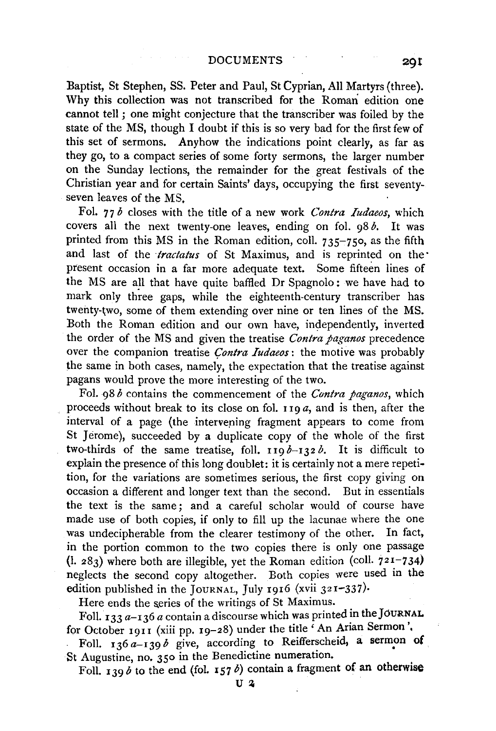Baptist, St Stephen, SS. Peter and Paul, St Cyprian, All Martyrs (three). Why this collection was not transcribed for the Roman edition one cannot tell ; one might conjecture that the transcriber was foiled by the state of the MS, though I doubt if this is so very bad for the first few of this set of sermons. Anyhow the indications point clearly, as far as they go, to a compact series of some forty sermons, the larger number on the Sunday lections, the remainder for the great festivals of the Christian year and for certain Saints' days, occupying the first seventyseven leaves of the MS,

Fol. 77 *b* closes with the title of a new work *Contra Iudaeos,* which covers all the next twenty-one leaves, ending on fol. 98 *b.* It was printed from this MS in the Roman edition, coll.  $735-750$ , as the fifth and last of the *tractatus* of St Maximus, and is reprinted on the present occasion in a far more adequate text. Some fifteen lines of the MS are all that have quite baffled Dr Spagnolo: we have had to mark only three gaps, while the eighteenth-century transcriber has twenty-two, some of them extending over nine or ten lines of the MS. Both the Roman edition and our own have, independently, inverted the order of the MS and given the treatise *Contra paganos* precedence over the companion treatise *Contra Iudaeos*: the motive was probably the same in both cases, namely, the expectation that the treatise against pagans would prove the more interesting of the two.

Fol. 98 *b* contains the commencement of the *Contra paganos,* which proceeds without break to its close on fol. 119 *a,* and is then, after the interval of a page (the intervening fragment appears to come from St Jerome), succeeded by a duplicate copy of the whole of the first two-thirds of the same treatise, foll.  $119 b - 132 b$ . It is difficult to explain the presence of this long doublet: it is certainly not a mere repetition, for the variations are sometimes serious, the first copy giving on occasion a different and longer text than the second. But in essentials the text is the same; and a careful scholar would of course have made use of both copies, if only to fill up the lacunae where the one was undecipherable from the clearer testimony of the other. In fact, in the portion common to the two copies there is only one passage (1. 283) where both are illegible, yet the Roman edition (coli. 721-734) neglects the second copy altogether. Both copies were used in the edition published in the JOURNAL, July 1916 (xvii 321-337).

Here ends the series of the writings of St Maximus.

Foll.  $133 a - 136 a$  contain a discourse which was printed in the JOURNAL for October 1911 (xiii pp. 19-28) under the title  $\epsilon$  An Arian Sermon', Foll. 136  $a-139b$  give, according to Reifferscheid, a sermon of

St Augustine, no. 350 in the Benedictine numeration. Foll. 139 b to the end (fol. 157 b) contain a fragment of an otherwise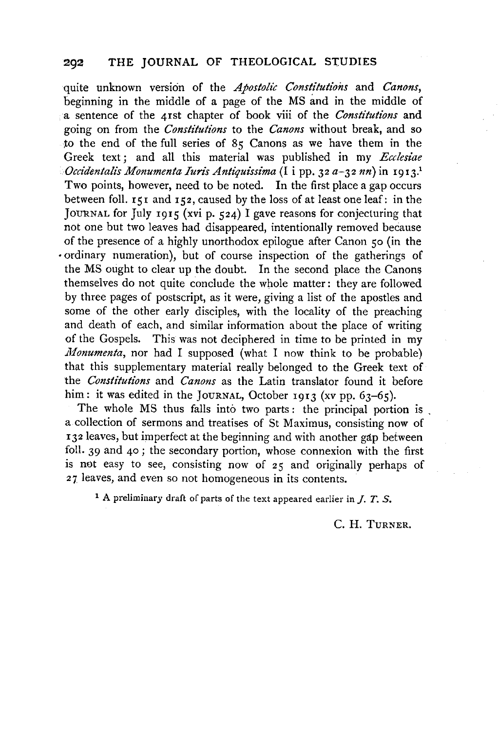quite unknown version of the *Apostolic Constitutions* and *Canons,*  beginning in the middle of a page of the MS and in the middle of a sentence of the 4rst chapter of book viii of the *Constitutions* and going on from the *Constitutions* to the *Canons* without break, and so to the end of the full series of 85 Canons as we have them in the Greek text; and all this material was published in my *Ecclesiae Occidentalis Monumenta Iuris Antiquissima* (I i pp. 32 *a-32 nn)* in 1913.1 Two points, however, need to be noted. In the first place a gap occurs between foll. 151 and 152, caused by the loss of at least one leaf: in the JOURNAL for July 1915 (xvi p.  $524$ ) I gave reasons for conjecturing that not one but two leaves had disappeared, intentionally removed because of the presence of a highly unorthodox epilogue after Canon so (in the ·ordinary numeration), but of course inspection of the gatherings of the MS ought to clear up the doubt. In the second place the Canons themselves do not quite conclude the whole matter: they are followed by three pages of postscript, as it were, giving a list of the apostles and some of the other early disciples, with the locality of the preaching and death of each, and similar information about the place of writing of the Gospels. This was not deciphered in time to be printed in my *Monumenta, nor had I supposed (what I now think to be probable)* that this supplementary material really belonged to the Greek text of the *Constitutions* and *Canons* as the Latin translator found it before him: it was edited in the JOURNAL, October 1913 (xv pp. 63-65).

The whole MS thus falls into two parts: the principal portion is a collection of sermons and treatises of St Maximus, consisting now of 132 leaves, but imperfect at the beginning and with another gap between foil. 39 and 40 ; the secondary portion, whose connexion with the first is not easy to see, consisting now of  $25$  and originally perhaps of 27 leaves, and even so not homogeneous in its contents.

1 A preliminary draft of parts of the text appeared earlier in *J.* T. S.

c. H. TURNER.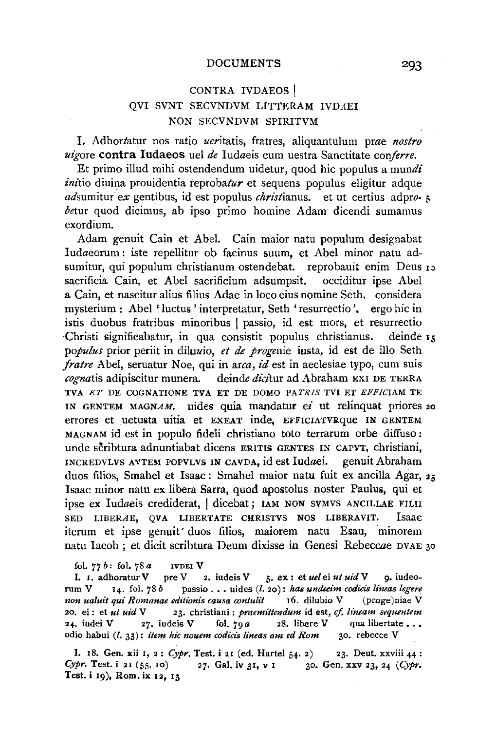### DOCUMENTS

# CONTRA IVDAEOS | QVI SVNT SECVNDVM LITTERAM IVDAEI NON SECVNDVM SPIRITVM

I. Adhortatur nos ratio ueritatis, fratres, aliquantulum prae *nostro uigore* contra Iudaeos uel *de* Iudaeis cum uestra Sanctitate *conferre.* 

Et primo illud mihi ostendendum uidetur, quod hie populus a *mundi initio* diuina prouidentia *reprobatur* et sequens populus eligitur adque adsumitur *ex* gentibus, id est populus *christianus*. et ut certius ad pro- 5 *betur* quod dicimus, ab ipso primo homine Adam dicendi sumamus exordium.

Adam genuit Cain et Abel. Cain maior natu populum designabat Iudaeorum: iste repellitur ob facinus suum, et Abel minor natu adsumitur, qui populum christianum ostendebat. reprobauit enim Deus 10 sacrificia Cain, et Abel sacrificium adsumpsit. occiditur ipse Abel a Cain, et nascitur alius filius Adae in loco eius nomine Seth. considera mysterium : Abel 'luctus 'interpretatur, Seth 'resurrectio '. ergo hie in istis duobus fratribus minoribus I passio, id est mors, et resurrectio Christi significabatur, in qua consistit populus christianus. deinde 15 *populus* prior periit in diluuio, *et de progenie* iusta, id est de illo Seth *fratre* Abel, seruatur Noe, qui in *arca, id* est in aeclesiae typo, cum suis *cognatis* adipiscitur munera. deinde *dicitur* ad Abraham EXI DE TERRA TVA *ET* DE COGNATIONE TVA ET DE DOMO *PATRIS* TVI ET *EFFICIAM* TE IN GENTEM MAGNAM. uides quia mandatur *ei* ut relinquat priores 20 errores et uetusta uitia et EXEAT inde, EFFICIATVRque IN GENTEM MAGNAM id est in populo fideli christiano toto terrarum orbe diffuso: unde scribtura adnuntiabat dicens ERITIS GENTES IN CAPVT, christiani, INCREDVLVS AVTEM POPVLVS IN CAVDA, id est Iudaei. genuit Abraham duos filios, Smahel et Isaac: Smahel maior natu fuit ex ancilla Agar, 25 Isaac minor natu ex libera Sarra, quod apostolus noster Paulus, qui et ipse ex Iudaeis crediderat, I dicebat; lAM NON SVMVS ANCILLAE FILII SED LIBERAE, QVA LIBERTATE CHRISTVS NOS LIBERAVIT. Isaac iterum et ipse genuit' duos filios, maiorem natu Esau, minorem natu Iacob ; et dicit scribtura Deum dixisse in Genesi Rebeccae DVAE 30

fol. *77 b:* fol. 78 *a* lVDEl V

I. I. adhoratur V pre V 2. iudeis V 5. ex : et *uel* ei *ut uid* V 9. iudeorum V 14. fol. 78 *b* passio . . . uides (l. 20): has undecim codicis lineas legere *non ualuit qui Romanae editionis causa contulit* 16. dilubio V (proge)niae V 20. ei: et *ut uid* V 23. christiani: *praemittendum* id est, *cf. lineam sequentem*  24. iudei V 27. iudeis V fol.  $79a$  28. libere V qua libertate ... odio habui (l. 33): *item hie nouem codicis lineas om ed Rom* 30. rebecce V

I. 18. Gen. xii 1, 2: *Cypr.* Test. i 21 (ed. Hartel 54· 2) 23. Deut. xxviii 44: *Cypr.* Test. i 21 (55. 10) 27. Gal. iv 31, v 1 30. Gen. xxv 23, 24 *(Cypr.* Test. i 19), Rom. ix 12, 13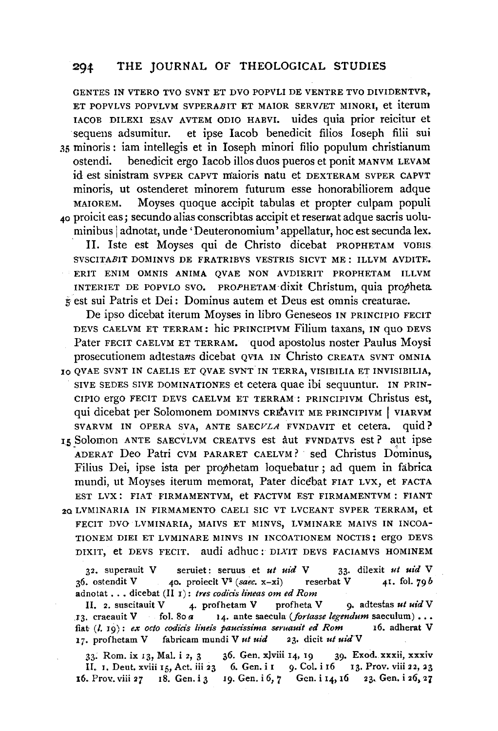GENTES IN VTERO TVO SVNT ET DVO POPVLI DE VENTRE TVO DIVIDENTVR, ET POPVLVS POPVLVM SVPERABIT ET MAIOR SERV/ET MINORI, et iterum IACOB DILEXI ESAV AVTEM ODIO HABVI. uides quia prior reicitur et sequens adsumitur. et ipse Iacob benedicit filios Ioseph filii sui et ipse Iacob benedicit filios Ioseph filii sui 35 minoris : iam intellegis et in Ioseph minori filio populum christianum benedicit ergo Iacob illos duos pueros et ponit MANVM LEVAM id est sinistram SVPER CAPVT maioris natu et DEXTERAM SVPER CAPVT minoris, ut ostenderet minorem futurum esse honorabiliorem adque MAIOREM. Moyses quoque accipit tabulas et propter culpam populi 40 proicit eas; secundo alias conscribtas accipit et reseruat adque sacris uoluminibus | adnotat, unde 'Deuteronomium' appellatur, hoc est secunda lex.

II. Iste est Moyses qui de Christo dicebat PROPHETAM VOBIS SVSCITABIT DOMINVS DE FRATRIBVS VESTRIS SICVT ME: ILLVM AVDITE. ERIT ENIM OMNIS ANIMA QVAE NON AVDIERIT PROPHETAM ILLVM INTERIET DE POPVLO SVO. PROPHETAM dixit Christum, quia propheta. *5* est sui Patris et Dei: Dominus autem et Deus est omnis creaturae.

De ipso dicebat iterum Moyses in libro Geneseos IN PRINCIPIO FECIT DEVS CAELVM ET TERRAM: hic PRINCIPIVM Filium taxans, IN quo DEVS Pater FECIT CAELVM ET TERRAM. quod apostolus noster Paulus Moysi prosecutionem adtestans dicebat OV1A IN Christo CREATA SVNT OMNIA

10 QVAE SVNT IN CAELIS ET QVAE SVNT IN TERRA, VISIBILIA ET INVISIBILIA, SIVE SEDES SIVE DOMINATIONES et cetera quae ibi sequuntur. IN PRIN-CIPIO ergo FECIT DEVS CAELVM ET TERRAM: PRINCIPIVM Christus est, qui dicebat per Solomonem DOMINVS CREAVIT ME PRINCIPIVM | VIARVM SVARVM IN OPERA SVA, ANTE SAECVLA FVNDAVIT et cetera. quid?

IS Solomon ANTE SAECVLVM CREATVS est aut FVNDATVS est? aut ipse ADERAT Deo Patri CVM PARARET CAELVM? sed Christus Dominus, Filius Dei, ipse ista per prophetam loquebatur ; ad quem in fabrica mundi, ut Moyses iterum memorat, Pater dicebat FIAT Lvx, et FACTA EST LVX: FIAT FIRMAMENTVM, et FACTVM EST FIRMAMENTVM: FIANT

20 LVMINARIA IN FIRMAMENTO CAELI SIC VT LVCEANT SVPER TERRAM, et FECIT DVO LVMINARIA, MAIVS ET MINVS, LVMINARE MAIVS IN INCOA-TIONEM DIE! ET LVMINARE MINVS IN INCOATIONEM NOCTIS: ergo DEVS DIXIT, et DEVS FECIT. audi adhuc: DIXIT DEVS FACIAMVS HOMINEM

32. superauit V seruiet: seruus et *ut uid* V 33· dilexit *ut uid* V 36. ostendit V 40. proiecit V2 *(saec.* x-xi) reserbat V 41, fol. *79b*  adnotat . . . dicebat (II 1): *tres codicis lineas om ed Rom* II. 2. suscitauit V 4. profhetam V profheta V

4. profhetam V profheta V 9. adtestas *ut uid* V 13. craeauit V fol. 80 *a* **14.** ante saecula *(fortasse legendum* saeculum)  $\ldots$  fiat *(l. 10)*: *ex octo codicis lineis baucissima seruauit ed Rom* 16. adherat V fiat (*l.* 19): *ex* octo codicis lineis paucissima seruauit ed Rom 17. profhetam V fabricam mundi V *ut uid* 23. dicit *ut uidV* 

33. Rom. ix 13, Mal. i 2, 3 36. Gen. xlviii 14, 19 39. Exod. xxxii, xxxiv II. 1. Deut. xviii 15, Act. iii 23 6. Gen. i 1 9. Col. i 16 13. Prov. viii 22, 23 16. Prov. viii  $27 \quad 18.$  Gen. i 3  $19.$  Gen. i 6, 7 Gen. i 14, 16  $23.$  Gen. i  $26.27$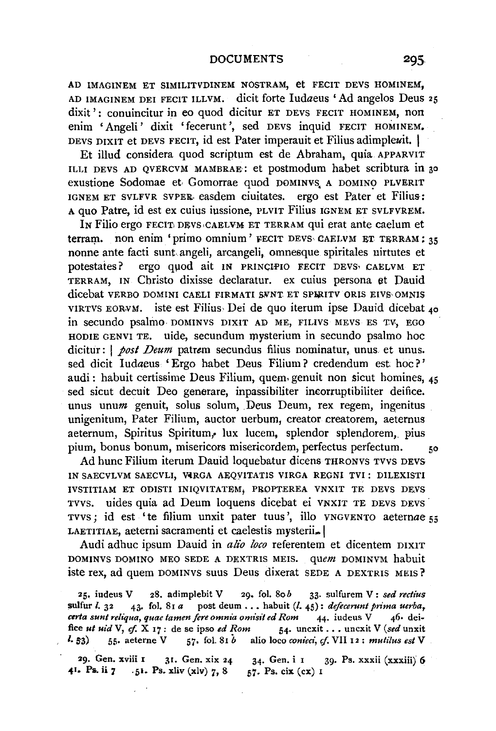#### DOCUMENTS

AD IMAGINEM ET SIMILITVDINEM NOSTRAM, et FECIT DEVS HOMINEM, AD IMAGINEM DEI FECIT ILLVM. dicit forte ludaeus 'Ad angelos Dens 25 dixit': conuincitur in eo quod dicitur ET DEVS FECIT HOMINEM, non enim 'Angeli' dixit 'fecerunt ', sed DEVS inquid FECIT HOMINEM. DEVS DIXIT et DEVS FECIT, id est Pater imperauit et Filius adimpleuit. |

Et illud considera quod scriptum est de Abraham, quia APPARVIT ILLI DEVS AD QVERCVM MAMBRAE : et postmodum habet scribtura in 30 exustione Sodomae et Gomorrae quod DOMINVS A DOMINO PLVERIT IGNEM ET SVLFVR svPER- easdem ciuitates. ergo est Pater et Filius-: A quo Patre, id est ex cuius iussione, PLVIT Filius IGNEM ET SVLFVREM.

In Filio ergo FECIT DEVS•CAELVM ET TERRAM qui erat ante caelum et terram. non enim 'primo omnium' FECIT DEVS CAELVM ET TERRAM; 35 nonne ante facti sunt. angeli, arcangeli, omnesque spiritales uirtutes et potestates? ergo quod ait IN PRINCIPIO FECIT DEVS<sup>,</sup> CAELVM ET TERRAM, IN Christo dixisse declaratur. ex cuius persona et Dauid dicebat VERBO DOMINI CAELI FIRMATI SVNT ET SPIRITV ORIS EIVS OMNIS VIRTVS EORNM. iste est Filius· Dei de quo iterum ipse Dauid dicebat 4a in secundo psalmo · DOMINVS DIXIT AD ME, FILIVS MEVS ES TV, EGO HODIE GENVI TE. uide, secundum mysterium in secundo psalmo hoc dicitur : | *post Deum* patrem secundus filius nominatur, unus et unus. sed dicit Iudaeus 'Ergo habet Deus Filium? credendum est hoc?' audi : habuit certissime Deus Filium, quem genuit non sicut homines, 45 sed sicut decuit Deo generare, inpassibiliter incorruptibiliter deifice. unus unum genuit, solus solum, Deus Deum, rex regem, ingenitus unigenitum, Pater Filium, auctor uerbum, creator creatorem, aeternus aeternum, Spiritus Spiritum, lux lucem, splendor splendorem, pius pium, bonus bonum, misericors misericordem, perfectus perfectum. 50

Ad hunc Filium iterum Dauid loquebatur dicens THRONVS TVVS DEVS IN SAECVLVM SAECVLI, VIRGA AEQVITATIS VIRGA REGNI TVI: DILEXISTI IVSTITIAM ET ODISTI INIQVITATEM, PROPTEREA VNXIT TE DEVS DEVS TVVS. uides quia ad Deum loquens dicebat ei VNXIT TE DEVS DEVS TVVS; id est 'te filium unxit pater tuus', illo VNGVENTO aeternae 55 LAETITIAE, aeterni sacramenti et caelestis mysterii...

Audi adhuc ipsum Dauid in *alio loco* referentem et dicentem DIXIT DOMINVS DOMINO MEO SEDE A DEXTRIS MEIS. *quem* DOMINVM habuit iste rex, ad quem DOMINVS suus Deus dixerat SEDE A DEXTRIS MEIS?

25. iudeus V 2S. adimplebit V 29. fol. Sob 33· sulfurem V: *sed rectius*  sulfur *l.* 32 43. fol. 81 *a* post deum ... habuit (*l.* 45): *defecerunt prima uerba*, *ceria sunt reliqua, quae tamen fere omnia omisit ed Rom* 44· iudeus V 46· deifice *ut uid* V, *cf.* X 17: de se ipso *ed Rom* 54. uncxit . . . uncxit V (sed unxit *I.*  $53)$  55. aeterne V 57. fol. 81  $\dot{b}$  alio loco *conieci, cf.* VII 12: *mutilus est* V

29. Gen. xviii 1 31. Gen. xix 24 **1.** Ps. ii 7 **1.**  $\frac{1}{21}$ ,  $\frac{1}{21}$ ,  $\frac{1}{21}$ ,  $\frac{1}{21}$ ,  $\frac{1}{21}$ ,  $\frac{1}{21}$ ,  $\frac{1}{21}$ ,  $\frac{1}{21}$ ,  $\frac{1}{21}$ ,  $\frac{1}{21}$ ,  $\frac{1}{21}$ ,  $\frac{1}{21}$ ,  $\frac{1}{21}$ ,  $\frac{1}{21}$ ,  $\frac{1}{21}$ ,  $\frac{1}{21}$ ,  $\frac{1}{21}$ 34· Gen. i 1 39· Ps. xxxii (xxxiii) 6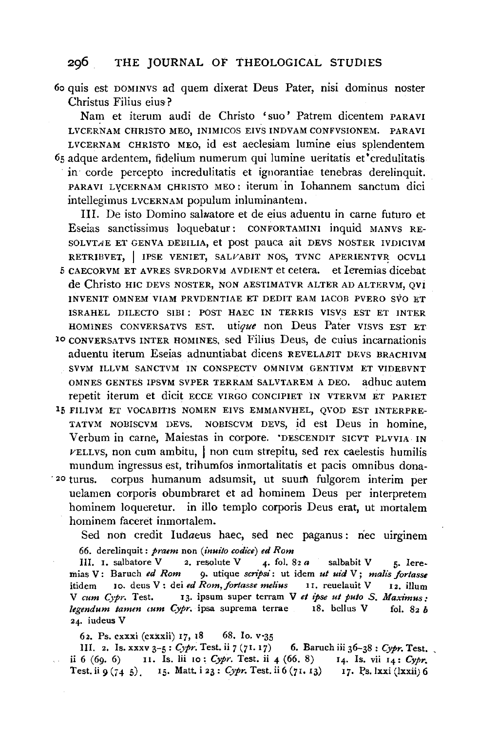6o quis est DOMINVS ad quem dixerat Deus Pater, nisi dominus noster Christus Filius eius-?

Nam et iterum audi de Christo 'suo' Patrem dicentem PARA VI LVCERNAM CHRISTO MEO, INIMICOS EIVS INDVAMCONFVSIONEM. PARAVI LVCERNAM CHRISTO MEO, id est aeclesiam lumine eius splendentem 65 adque ardentem, fidelium numerum qui lumine ueritatis et credulitatis in· corde percepto incredulitatis et ignorantiae tenebras derelinquit. PARA VI LYCERNAM CHRISTO MEO: iterum in lohannem sanctum dici intellegimus LVCERNAM populum inluminantem.

Ill. De isto Domino saluatore et de eius aduentu in came futuro et Eseias sanctissimus loquebatur: CONFORTAMINI inquid MANVS RE-SOLVTAE ET GENVA DEBILIA, et post pauca ait DEVS NOSTER IVDICIVM RETRIBVET, | IPSE VENIET, SALVABIT NOS, TVNC APERIENTVR OCVLI 5 CAECORVM ET AVRES SVRDORVM AVDIENT et cetera. et leremias dicebat de Christo HIC DEVS NOSTER, NON AESTIMATVR ALTER AD ALTERVM, QVI INVENIT OMNEM VIAM PRVDENTIAE ET DEDIT EAM IACOB PVERO SVO ET ISRAHEL DILECTO SIB! : POST HAEC IN TERRIS VISVS EST ET INTER HOMINES CONVERSATVS EST. utique non Deus Pater VISVS EST ET 10 CONVERSATVS INTER HOMINES, sed Filius Deus, de cuius incamationis

- aduentu iterum Eseias adnuntiabat dicens REVELABIT DEVS BRACHIVM SVVM ILLVM SANCTVM IN CONSPECTV OMNIVM GENTIVM ET VIDEBVNT OMNES GENTES IPSVM SVPER TERRAM SALVTAREM A DEO. adhuc autem repetit iterum et dicit ECCE VIRGO CONCIPIET IN VTERVM ET PARIET
- 15 FILIVM ET VOCABITIS NOMEN EIVS EMMANVHEL, QVOD EST INTERPRE-TATVM NOBISCVM DEVS. NOBISCVM DEVS, id est Deus in homine, Verbum in came, Maiestas in corpore. 'DESCENDIT SICVT PLVVIA IN  $\nu$ ELLVS, non cum ambitu,  $\vert$  non cum strepitu, sed rex caelestis humilis mundum ingressus est, trihumfos inmortalitatis et pacis omnibus dona-
- <sup>20</sup> turus. corpus humanum adsumsit, ut suum fulgorem interim per uelamen corporis obumbraret et ad hominem Deus per interpretem hominem loqueretur. in illo templo corporis Deus erat, ut mortalem hominem faceret inmortalem.

Sed non credit Iudaeus haec, sed nee paganus: nee uirginem 66. derelinquit: *praem* non *(inuilo codice) ed Rom* 

Ill. I. salbatore V 2. resolute V 4· fol. S2 *a* salbabit V 5· Ieremias V: Baruch *ed Rom* 9. utique *scripsi* : ut idem *ut uid* V; malis fortasse itidem Io. dens V: dei *ed Rom,forlasse me/ius* II. reuelauit V I2. ilium V *cum Cypr.* Test. 13. ipsum super terram V et ipse ut puto S. Maximus: *legendum tamm tum Cypr.* ipsa suprema terrae IS. bellus V fol. S2 *b*  24. iudeus V

62. Ps. cxxxi (cxxxii) I7, IS 6S. Io. v·35

Ill. 2. Is. xxxv 3-5: *Cypr.* Test. ii *7* (71. 17) 6. Baruch iii 36-3S: *Cypr.* Test, ii 6 (69. 6) 11. Is. lii 10: *Cypr.* Test. ii 4 (66. S) 14· Is. vii 14: *Cypr,*  Test. ii *9* (74 5). I<sub>5</sub>. Matt. i 23: *Cypr*. Test. ii 6 (71. 13) 17. Ps. Ixxi (Ixxii) 6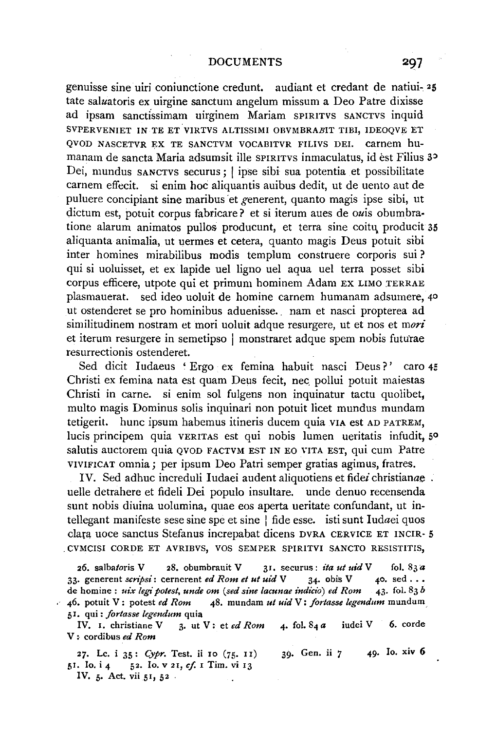genuisse sine uiri coniunctione credunt. audiant et credant de natiui- 25 tate saluatoris ex uirgine sanctum angelum missum a Deo Patre dixisse ad ipsam sanctissimam uirginem Mariam SPIRITVS SANCTVS inquid SVPERVENIET IN TE ET VIRTVS ALTISSIMI OBVMBRABIT TIBI, IDEOQVE ET QVOD NASCETVR EX TE SANCTVM VOCAB!TVR FILIVS DEI. carnem humanam de sancta Maria adsumsit ille SPIRITVS inmaculatus, id èst Filius 3<sup>2</sup> Dei, mundus SANCTVS securus; I ipse sibi sua potentia et possibilitate carnem effecit. si enim hoc aliquantis auibus dedit, ut de uento aut de puluere concipiant sine maribus et generent, quanto magis ipse sibi, ut dictum est, potuit corpus fabricare? et si iterum aues de owis obumbratione alarum animatos pullos producunt, et terra sine coitu. producit 35 aliquanta animalia, ut uermes et cetera, quanto magis Deus potuit sibi inter homines mirabilibus modis templum construere corporis sui ? qui si uoluisset, et ex lapide uel ligno uel aqua uel terra posset sibi corpus efficere, utpote qui et primum hominem Adam EX LIMO TERRAE plasmauerat. sed ideo uoluit de homine carnem humanam adsumere, 40 ut ostenderet se pro hominibus aduenisse. . nam et nasci propterea ad similitudinem nostram et mori uoluit adque resurgere, ut et nos et *mori*  et iterum resurgere in semetipso | monstraret adque spem nobis futurae resurrectionis ostenderet.

Sed dicit Iudaeus ' Ergo ex femina habuit nasci Deus?' caro 45 Christi ex femina nata est quam Deus fecit, nee\_ pollui potuit maiestas Christi in carne. si enim sol fulgens non inquinatur tactu quolibet, multo magis Dominus solis inquinari non potuit licet mundus mundam tetigerit. hunc ipsum habemus itineris ducem quia VIA est AD PATREM, lucis principem quia VERITAS est qui nobis lumen ueritatis infudit, so salutis auctorem quia OVOD FACTVM EST IN EO VITA EST, qui cum Patre VIVIFICAT omnia; per ipsum Deo Patri semper gratias agimus, fratres.

IV. Sed adhuc increduli Iudaei audent aliquotiens et fidei christianae uelle detrahere et fideli Dei populo insultare. unde denuo recensenda sunt nobis diuina uolumina, quae eos aperta ueritate confundant, ut intellegant manifeste sese sine spe et sine  $\vert$  fide esse. isti sunt Iudaei quos clara uoce sanctus Stefanus increpabat dicens DVRA CERVICE ET INCIR- 5 . CVMCISI CORDE ET AVRIBVS, VOS SEMPER SPIRITVI SANCTO RESISTITIS,

26. salbatoris V 28. obumbrauit V 31. securus: *ita ut uid* V fol. 83a 33. generent *scripsi*: cernerent *ed Rom et ut uid* V 34. obis V 40. sed ...<br>de homine: *uix legi potest, unde om (sed sine lacunae indicio) ed Rom* 43. fol. 83*b* de homine : uix legi potest, unde om (sed sine lacunae indicio) ed Rom 46. potuit V: potest *ed Rom* 48. mundam *ut ui'd* V: *fortasse legendum* mundum. 51. qui: *fortasse legendum* quia

IV. 1. christiane V 3. ut V: et ed Rom 4. fol. 84 a *iudei* V 6. corde V : cordibus *ed Rom* 

27. Le. i 35: *Cypr.* Test. ii 10 (75· 11) 39· Gen. ii *7* 49· lo. xiv 6 51. Io. i 4 52. Io. v 21, *cf.* I Tim. vi 13

IV. 5· Act. vii 51, 52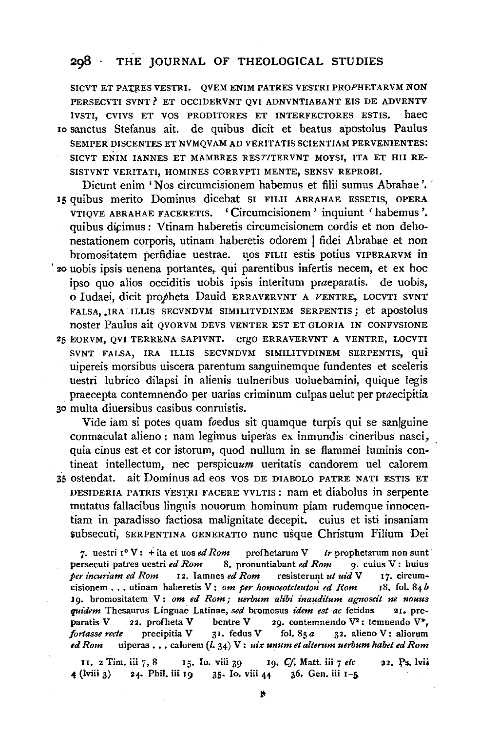SICVT ET PATRES VESTRI. QVEM ENIM PATRES VESTRI PROPHETARVM NON PERSECVTI SVNT? ET OCCIDERVNT QVI ADNVNTIABANT EIS DE ADVENTV IVSTI, CVIVS ET VOS PRODITORES ET INTERFECTORES ESTIS. haec 1o sanctus Stefanus ait. de quibus dicit et beatus apostolus Paulus SEMPER DISCENTES ET NVMQVAM AD VERITATIS SCIENTIAM PERVENIENTES: SICVT ENIM IANNES ET MAMBRES REST/TERVNT MOYSI, ITA ET Hll RE-SISTVNT VERITATI, HOMINES CORRVPTI MENTE, SENSV REPROBI.

Dicunt enim 'Nos circumcisionem habemus et filii sumus Abrahae '. ' 15 quibus merito Dominus dicebat SI FILII ABRAHAE ESSETIS, OPERA VTIQVE ABRAHAE FACERETIS. 'Circumcisionem' inquiunt 'habemus '. quibus dicimus: Vtinam haberetis circumcisionem cordis et non dehonestationem corporis, utinam haberetis odorem I fidei Abrahae et non bromositatem perfidiae uestrae. qos FILII estis potius VIPERARVM in · zo uobis ipsis uenena portantes,. qui parentibus infertis necem, et ex hoc ipso quo alios occiditis uobis ipsis interitum praeparatis. de uobis,

0 ludaei, dicit propheta Dauid ERRAVERVNT A VENTRE, LOCVTI SVNT FALSA, .IRA ILLIS SECVNDVM SIMILITVDINEM SERPENTIS; et apostolus noster Paulus ait QVORVM DEVS VENTER EST ET GLORIA IN CONFVSIONE 25 EORVM, QVI TERRENA SAPIVNT. ergo ERRAVERVNT A VENTRE, LOCVTI SVNT FALSA, IRA ILLIS SECVNDVM SIMILITVDINEM SERPENTIS, qui uipereis morsibus uiscera parentum sanguinemque fundentes et sceleris uestri lubrico dilapsi in alienis uulneribus uoluebamini, quique legis praecepta contemnendo per uarias criminum culpas uelut per praecipitia 30 multa diuersibus casibus conruistis.

Vide iam si potes quam foedus sit quamque turpis qui se sanlguine conmaculat alieno: nam legimus uiperas ex inmundis cineribus nasci, quia cinus est et cor istorum, quod nullum in se flammei luminis contineat intellectum, nec perspicuam ueritatis candorem uel calorem 35 ostendat. ait Dominus ad eos VOS DE DIABOLO PATRE NATI ESTIS ET DESIDERIA PATRIS VESTRI FACERE VVLTIS: nam et diabolus in serpente mutatus fallacibus linguis nouorum hominum piam rudemque innocentiam in paradisso factiosa malignitate decepit. cuius et isti insaniam \$ubsecuti, SERPENTINA GENERATIO nunc usque Christum Filium Dei

7. uestri  $1^{\circ}$  V: + ita et uos *ed Rom* profinetarum V *tr* prophetarum non sunt persecuti patres uestri *ed Rom* S. pronuntiabant *ed Rom* 9· cuius V: huius *per incuriam ed Rom* 12. Iamnes *ed Rom* resisterunt *ut uid* V 17. circumcisionem ... utinam haberetis V: *om per homoeoteleuton ed Rom* IS. fol. S4 *<sup>b</sup>* 19. bromositatem V: om ed Rom; uerbum alibi inauditum agnoscit ne nouus *quidem* Thesaurus Linguae Latinae, *sed* bromosus *idem est ac* fetidus 21. preparatis V 22. profheta V bentre V 29. contemnendo  $V^2$ : temnendo  $V^*$ , *fortasse recte* precipitia V 31. fedus V fol. Ss *a* 32. alieno V: aliorum *ed Rom* uiperas ••• calorem (I. 34) V: *uix unum et alterum uerbum habet ed Rom* 

11. 2 Tim. iii 7, 8 15. Io. viii 39 19. *Cf. Matt.* iii 7 etc 22. Ps. lvii 4 (lviii 3) 24. Phil. iii 19 35. Io. viii 44 36. Gen. iii 1-5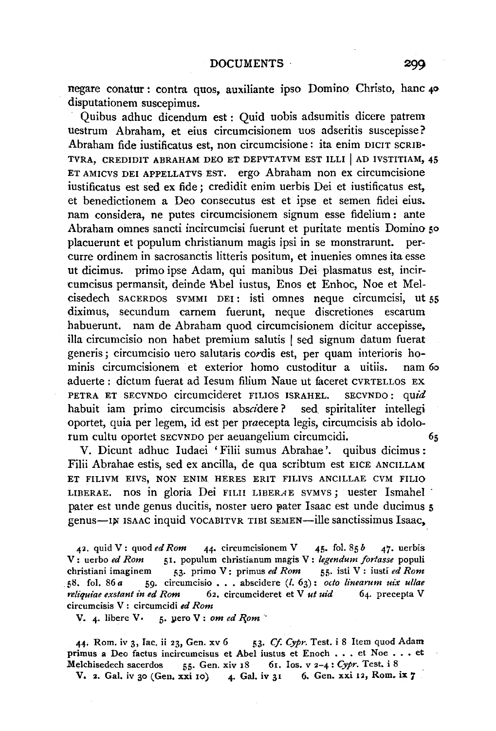negare conatur : contra quos, auxiliante ipso Domino Christo, banc 40 disputationem suscepimus.

Quibus adhuc dicendum est : Quid uobis adsumitis dicere patrem uestrum Abraham, et eius circumcisionem uos adseritis suscepisse? Abraham fide iustificatus est, non circumcisione: ita enim DICIT SCRIB· TVRA, CREDIDIT ABRAHAM DEO ET DEPVTATVM EST ILLI | AD IVSTITIAM, 45 ET AMICVS DEI APPELLATVS EST. ergo Abraham non ex circumcisione iustificatus est sed ex fide ; credidit enim uerbis Dei et iustificatus est, et benedictionem a Deo consecutus est et ipse et semen fidei eius. nam considera, ne putes circumcisionem signum esse fidelium : ante Abraham omnes sancti incircumcisi fuerunt et puritate mentis Domino so placuerunt et populum christianum magis ipsi in se monstrarunt. percurre ordinem in sacrosanctis litteris positum, et inuenies omnes ita esse ut dicimus. primo ipse Adam, qui manibus Dei plasmatus est, incircumcisus permansit, deinde Abel iustus, Enos et Enhoc, Noe et Melcisedech SACERDOS svMMI DEI : isti omnes neque circumcisi, ut 55 diximus, secundum camem fuerunt, neque discretiones escarum habuerunt. nam de Abraham quod circumcisionem dicitur accepisse, ilia circumcisio non habet premium salutis I sed signum datum fuerat generis; circumcisio uero salutaris cordis est, per quam interioris hominis circumcisionem et exterior homo custoditur a uitiis. nam 6o aduerte : dictum fuerat ad Iesum filium Naue ut faceret CVRTELLOS EX PETRA ET SECVNDO circumcideret FILIOS ISRAHEL. SECVNDO : *quid*  habuit iam primo circumcisis abscidere? sed spiritaliter intellegi oportet, quia per legem, id est per praecepta legis, circumcisis ab idolorum cultu oportet SECVNDO per aeuangelium circumcidi. *65* 

V. Dicunt adhuc Iudaei 'Filii sumus Abrahae '. quibus dicimus: Filii Abrahae estis, sed ex ancilla, de qua scribtum est EICE ANCILLAM ET FILIVM EIVS, NON ENIM HERES ERIT FILIVS ANCILLAE CVM FILIO LIBERAE. nos in gloria Dei FILII LIBERAE SVMVS; uester Ismahel pater est unde genus ducitis, noster uero pater Isaac est unde ducimus 5 genus-I))' ISAAC inquid VOCABITVR TIBI SEMEN-ille sanctissimus lsaac,

42. quid V: quod *ed Rom* 44. circumcisionem V 45. fol. 85  $\bar{b}$  47. uerbis V: uerbo *ed Rom* 51. populum christianum magis V: *legendum fortasse* populi<br>christiani imaginem 53. primo V: primus *ed Rom* 55. isti V: iusti *ed Rom* christiani imaginem 53. primo V: primus ed Rom 58. fol. 86 *a* 59. circumcisio . . . abscidere (l. 63): *octo linearum uix ullae reliquiae exstant in ed Rom* 62. circumcideret et V *ut uid* 64. precepta V circumcisis V : circumcidi *ed Rom* 

V. 4. libere V. 5. yero V: om ed Rom

44. Rom. iv 3, Iac. ii 23, Gen. xv 6 53. Cf. Cypr. Test. i 8 Item quod Adam primus a Deo factus incircumcisus et Abel iustus et Enoch ••. et Noe ••• et ;Melchisedech sacerdos 55· Gen. xiv 18 61. Ios. v 2-4: *Cypr.* Test. i 8

V. 2. Gal. iv 30 (Gen. xxi 10) 4. Gal. iv 31 6. Gen. xxi 12, Rom. ix 7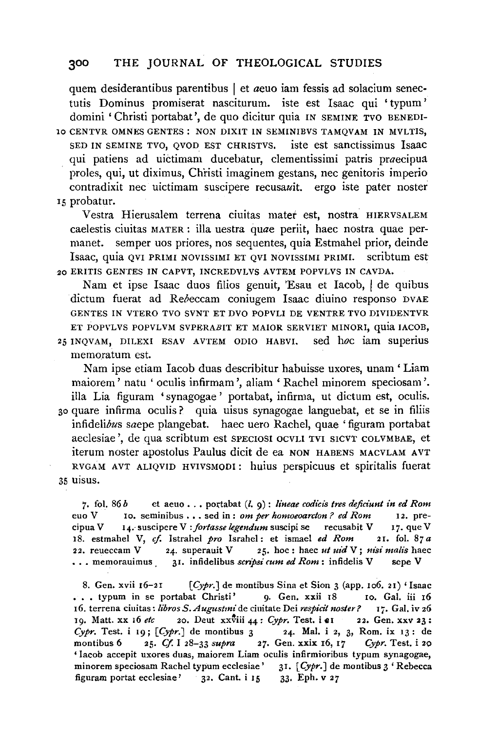quem desiderantibus parentibus I et *aeuo* iam fessis ad solacium senectutis Dominus promiserat nasciturum. iste est Isaac qui 'typum' domini 'Christi portabat ', de quo dicitur quia IN SEMINE TVO BENEDI-10 CENTVR OMNES GENTES : NON DIXIT IN SEMINIBVS TAMQVAM IN MVLTIS, SED IN SEMINE TVO, QVOD EST CHRISTVS. iste est sanctissimus lsaac qui patiens ad uidimam ducebatur, clementissimi patris praecipua proles, qui, ut diximus, Christi imaginem gestans, nee genitoris imperio contradixit nee uictimam suscipere recusauit. ergo iste pater noster 15 probatur.

Vestra Hierusalem terrena ciuitas mater est, nostra HIERVSALEM caelestis ciuitas MATER : ilia uestra quae periit, haec nostra quae permanet. semper uos priores, nos sequentes, quia Estmahel prior, deinde lsaac, quia QVI PRIMI NOVISSIMI ET QVI NOVISSIMI PRIMI. scribtum est 20 ERITIS GENTES IN CAPVT, INCREDVLVS AVTEM POPVLVS IN CAVDA.

Nam et ipse Isaac duos filios genuit, 'Esau et Iacob, | de quibus dictum fuerat ad Rebeccam coniugem Isaac diuino responso DVAE GENTES IN VTERO TVO SVNT ET DVO POPVLI DE VENTRE TVO DIVIDENTVR ET POPVLVS POPVLVM SVPERABIT ET MAIOR SERVIET MINORI, quia IACOB, 25 INQVAM, DILEXI ESAV AVTEM ODIO HABVI. sed hoc iam superius memoratum est.

Nam ipse etiam Iacob duas describitur habuisse uxores, unam 'Liam maiorem' natu 'oculis infirmam ', aliam 'Rachel minorem speciosam '. ilia Lia figuram 'synagogae ' portabat, infirma, ut dictum est, oculis. 30 quare infirma oculis? quia uisus synagogae languebat, et se in filiis infidelibus saepe plangebat. haec uero Rachel, quae 'figuram portabat aeclesiae ', de qua scribtum est SPECIOSI OCVLI TVI SICVT COLVMBAE, et iterum noster apostolus Paulus dicit de ea NON HABENS MACVLAM AVT RVGAM AVT ALIQVJD HVIVSMODI: huius perspicuus et spiritalis fuerat 35 uisus.

7. fol.  $86 b$  et aeuo  $\ldots$  portabat  $(l, q)$ : *lineae codicis tres deficiunt in ed Rom* euo V 10. seminibus .•. sed in : *om per homoeoarcton? ed Rom* 12. precipua V 14. suscipere V : fortasse legendum suscipi se recusabit V 17. que V 18. estmahel V, *cf.* lstrahel *pro* Israhel: et ismael *ed Rom* 21. fol. 87 *a*  22. reueccam V *24.* superauit V 25. hoc: haec *ut uid* V; *nisi malis* haec •.• memorauimus 31. infidelibus *scnpsi cum ed Rom:* infidelis V sepe V

8. Gen. xvii  $16-21$  [Cypr.] de montibus Sina et Sion 3 (app. 106. 21) 'Isaac ... typum in se portabat Christi' 9. Gen. xxii 18 10. Gal. iii 16 16. terrena ciuitas: *libros S. Augustmi* de ciuitate Dei *respicit noster*? 17. Gal. iv 26 19. Matt. xx 16 etc 20. Deut xxviii 44: *Cypr*. Test. i et 22. Gen. xxv 23: *Cypr.* Test. i 19;  $[Cypr.]$  de montibus 3 24. Mal. i 2, 3, Rom. ix 13: de montibus 6 25. *Cf.* I 28-33 *supra* 27. Gen. xxix r6, 17 *Cypr.* Test. i 20 ' lacob accepit uxores duas, maiorem Liam oculis infirmioribus typum synagogae, minorem speciosam Rachel typum ecclesiae' 31. [ *Cypr.* J de montibus 3 ' Rebecca figuram portat ecclesiae' 32. Cant. i 15 33· Eph. v 27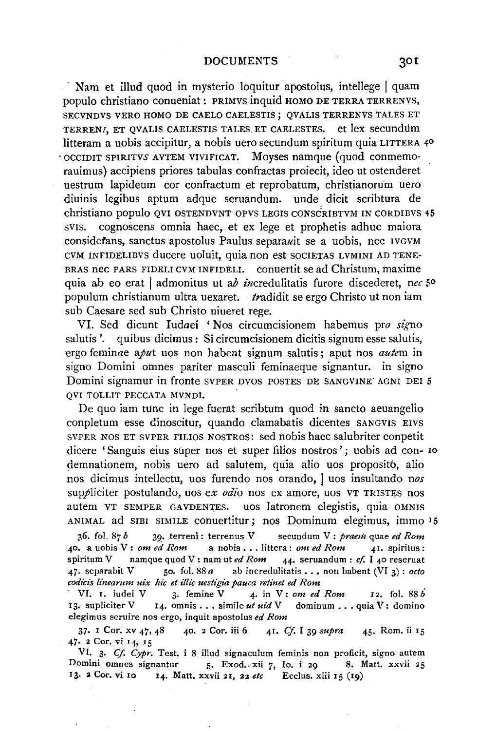Nam et illud quod in mysterio loquitur apostolus, intellege | quam populo christiano conueniat : PRIMVS in quid HOMO DE TERRA TERRENVS, SECVNDVS VERO HOMO DE CAELO CAELESTIS; QVALIS TERRENVS TALES ET TERRENI, ET QVALIS CAELESTIS TALES ET CAELESTES. et lex secundum litteram a uobis accipitur, a nobis uero secundum spiritum quia LITTERA 4° • OCCIDIT SPIRITVS AVTEM VIVIFICAT. Moyses namque (quod conmemorauimus) accipiens priores tabulas confractas proiecit, ideo ut ostenderet uestrum lapideum cor confractum et reprobatum, christianoru'm uero diuinis legibus aptum adque seruandum. unde dicit scribtura de christiano populo QVI OSTENDVNT OPVS LEGIS CONSc'RIBTVM IN CORDIBVS 45 svis. cognoscens omnia haec, et ex lege et prophetis adhuc maiora considerans, sanctus apostolus Paulus separawit se a uobis, nec IVGVM CVM INFIDELIBVS ducere uoluit, quia non est SOCIETAS LVMINI AD TENE-BRAS nec PARS FIDELI CVM INFIDELI. conuertit se ad Christum, maxime quia ab eo erat I admonitus ut ab incredulitatis furore discederet, *nee* 5° populum christianum ultra uexaret. tradidit se ergo Christo ut non iam sub Caesare sed sub Christo uiueret rege.

VI. Sed dicunt Iudaei 'Nos circumcisionem habemus pro *si'gno*  salutis '. quibus dicimus: Si circumcisionem dicitis signum esse salutis, ergo feminae *aput* uos non habent signum salutis ; aput nos *autem* in signo Domini omnes pariter masculi feminaeque signantur. in signo Domini signamur in fronte SVPER DVOS POSTES DE SANGVINE' AGNI DEI 5 QVI TOLLIT PECCATA MVNDI.

De quo iam tunc in lege fuerat scribtum quod in sancto aeuangelio conpletum esse dinoscitur, quando clamabatis dicentes SANGVIS EIVS SVPER NOS ET SVPER FILIOS NOSTROS: sed nobis haec salubriter conpetit dicere 'Sanguis eius super nos et super filios nostros '; uobis ad con- ro demnationem, nobis uero ad salutem, quia alio uos proposito, alio nos dicimus intellectu, uos furendo nos orando, I uos insultando *nos*  suppliciter postulando, uos *ex odio* nos ex amore, uos VT TRISTES nos autem VT SEMPER GAVDENTES. uos latronem elegistis, quia OMNIS ANIMAL ad SIBI SIMILE conuertitur; nos Dominum elegimus, immo I 5

;~6. fol. 87 *b* 39· terreni: terrenus V secundum V: *praem* quae *ed Rom*  40. a uobis V: *om ed Rom* a nobis ••. littera: *om ed Rom* 41. spiritus: spiritum V namque quod V: nam ut *ed Rom 44·* seruandum : *cf.* I 40 reseruat  $47.$  separabit V 50. fol. 88 *a* ab incredulitatis  $\ldots$ , non habent (VI 3): *octo codicis linearum uix hie et illic uestigia pauca retinet ed Rom* 

VI. I. iudei V 3· femine V *4·* in V: *om ed Rom 12.* fol. 88 *b*  13. supliciter V 14. omnis . . . simile *ut uid* V dominum . . . quia V: domino elegimus seruire nos ergo, inquit apostolus *ed Rom* 

37· I Cor. xv *47,* 48 40. 2 Cor. iii 6 4I. *Cf.* I 39 *supra* 45· Rom. ii 15 *47·* 2 Cor. vi 14, 15

VI. 3· *Cf. Cypr.* Test. i 8 illud signaculum feminis non proficit, signo autem Domini omnes signantur 5. Exod. xii 7, Io. i 29 8. Matt. xxvii 25 13. 2 Cor. vi 10 14. Matt. xxvii 21, 22 *etc* Ecclus. xiii 15 (19)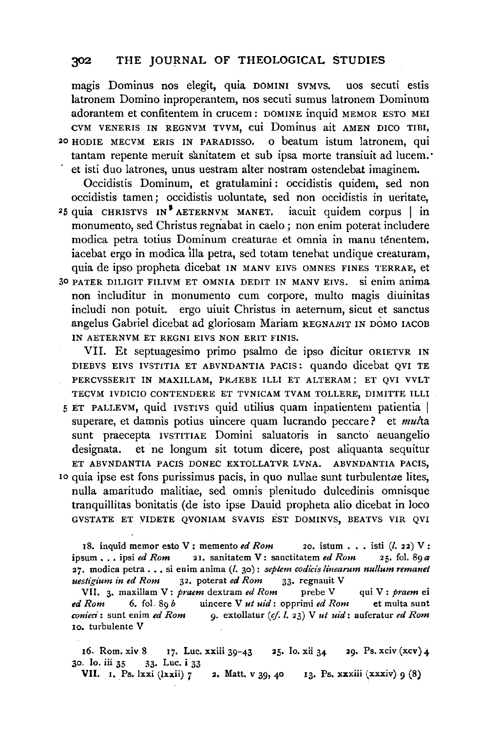magis Dominus nos elegit, quia DOMINI svMvs. uos secuti estis latronem Domino inproperantem, nos secuti sumus latronem Dominum adorantem et confitentem in crucem : DOMINE inquid MEMOR ESTO MEI CVM VENERIS IN REGNVM TVVM, cui Dominus ait AMEN DICO TIBI, HODIE MECVM ERIS IN PARADISSO. O beatum istum latronem, qui 20 HODIE MECVM ERIS IN PARADISSO. tantam repente meruit sànitatem et sub ipsa morte transiuit ad lucem. et isti duo latrones, unus uestram alter nostram ostendebat imaginem.

Occidistis Dominum, et gratulamini : occidistis quidem, sed non occidistis tamen; occidistis uoluntate, sed non occidistis in ueritate, quia CHRISTVS IN<sup>\*</sup>AETERNVM MANET, iacuit quidem corpus  $\|$  in  $25$  quia CHRISTVS IN<sup>\$</sup> AETERNVM MANET. monumento, sed Christus regriabat in caelo; non enim poterat includere modica petra totius Dominum creaturae et omnia in manu tenentem, iacebat ergo in modica ilia petra, sed totam tenebat undique creaturam, quia de ipso propheta dicebat IN MANV EIVS OMNES FINES TERRAE, et 30 PATER DILIGIT FILIVM ET OMNIA DEDIT IN MANV EIVS. si enim anima non includitur in monumento cum corpore, multo magis diuinitas includi non potuit. ergo uiuit Christus in aeternum, sicut et sanctus angelus Gabriel dicebat ad gloriosam Mariam REGNABIT IN DOMO IACOB IN AETERNVM ET REGNI EIVS NON ERIT FINIS.

VII. Et septuagesimo primo psalmo de ipso dicitur ORIETVR IN DIEBVS EIVS IVSTITIA ET ABVNDANTIA PACIS: quando dicebat QVI TE PERCVSSERIT IN MAXILLAM, PRAEBE ILLI ET ALTERAM; ET OVI VVLT TECVM IVDICIO CONTENDERE ET TVNICAM TVAM TOLLERE, DIMITTE ILLI 5 ET PALLEVM, quid IVSTIVS quid utilius quam inpatientem patientia I superare, et damnis potius uincere quam lucrando peccare? et *multa*  sunt praecepta IVSTITIAE Domini saluatoris in sancto aeuangelio designata. et ne longum sit totum dicere, post aliquanta sequitur ET ABVNDANTIA PACIS DONEC EXTOLLATVR LVNA. ABVNDANTIA PACIS, 10 quia ipse est fons purissimus pacis, in quo nullae sunt turbulentae lites, nulla amaritudo malitiae, sed omnis plenitudo dulcedinis omnisque tranquillitas bonitatis (de isto ipse Dauid propheta alio dicebat in loco GVSTATE ET VIDETE QVONIAM SVAVIS EST DOMINVS, BEATVS VIR QVI

18. inquid memor esto V; memento *ed Rom* 20. istum  $\ldots$  isti (*l.* 22) V; ipsum  $\ldots$  ipsi *ed Rom* 21. sanitatem V; sanctitatem *ed Rom* 25. fol. 89 $\alpha$ 21. sanitatem V: sanctitatem *ed Rom* 27. modica petra ... si enim anima (*l.* 30): *septem codicis linearum nullum remanet uestigium in ed Rom* 32. poterat *ed Rom* 33. regnauit V *uestigium in ed Rom* 32. poterat *ed Rom* 33· regnauit V

VII. 3· maxilla m V: *praem* dextram *ed Rom* prebe V qui V: *praem* ei *ed Rom* 6. fol. 89 *b* uincere V *ut uid:* opprimi *ed Rom* et multa sunt *conieci*: sunt enim *ed Rom* 9. extollatur (cf. *l.* 23) V *ut uid*: auferatur *ed Rom* Io. turbulente V

16. Rom. xiv 8 17. Luc. xxiii 39-43 25. Io. xii 34 29. Ps. xciv (xcv) **4**  30. Io. iii 35 33· Luc. **i** 33

**VII. I.** Ps. lxxi (lxxii) 7 2. Matt. v 39, 40 13. Ps. xxxiii (xxxiv) 9 (8)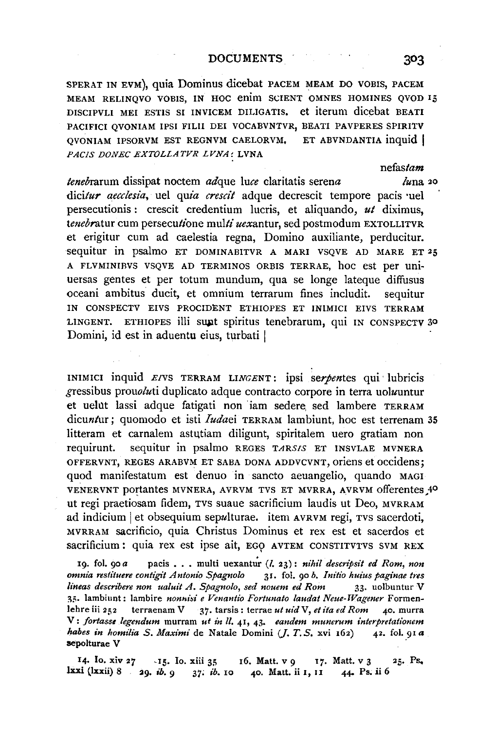SPERAT IN EVM), quia Dominus dicebat PACEM MEAM DO VOBIS, PACEM MEAM RELINQVO VOBIS, IN HOC enim SCIENT OMNES HOMINES OVOD 15 DISCIPVLI MEI ESTIS SI INVICEM DILIGATIS, et iterum dicebat BEATI PACIFICI QVONIAM IPSI FILII DEI VOCABVNTVR, BEATI PAVPERES SPIRITV<br>QVONIAM IPSORVM EST REGNVM CAELORVM. ET ABVNDANTIA inquid QVONIAM IPSORVM EST REGNVM CAELORVM, PACIS DONEC EXTOLLATVR LVNA: LVNA

*tenebrarum dissipat noctem adque luce claritatis serena <i>luna* 20 *dicitur aecclesia*, uel *quia crescit* adque decrescit tempore pacis uel persecutionis : crescit credentium lucris, et aliquando, *ut* diximus, tenebratur cum persecutione multi uexantur, sed postmodum EXTOLLITVR et erigitur cum ad caelestia regna, Domino auxiliante, perducitur. sequitur in psalmo ET DOMINABITVR A MARI VSQVE AD MARE ET 25 A FLVMINIRVS VSQVE AD TERMINOS ORBIS TERRAE, hoc est per uni-Uersas gentes et per totum mundum, qua se longe lateque diffusus oceani ambitus ducit, et omnium terrarum fines includit. sequitur IN CONSPECTV EIVS PROCIDENT ETHIOPES ET INIMICI EIVS TERRAM LINGENT. ETHIOPES illi sunt spiritus tenebrarum, qui IN CONSPECTV 30 Domini, id est in aduentu eius, turbati I

INIMICI inquid *EIVS* TERRAM LINGENT: ipsi serpentes qui lubricis  $g$ ressibus prou $\partial u$ ti duplicato adque contracto corpore in terra uoluuntur et uelut lassi adque fatigati non iam sedere, sed lambere TERRAM dicuntur; quomodo et isti *Iudaei* TERRAM lambiunt, hoc est terrenam 35 litteram et carnalem astutiam diligunt, spiritalem uero gratiam non requirunt. sequitur in psaJmo REGES *TARS/S* ET INSVLAE MVNERA OFFERVNT, REGES ARABVM ET SABA DONA ADDVCVNT, oriens et accidens; quod manifestatum est denuo in sancto aeuangelio, quando MAGI VENERVNT portantes MVNERA, AVRVM TVS ET MVRRA, AVRVM offerentes 40 ut regi praetiosam fidem, TVS suaue sacrificium laudis ut Deo, MVRRAM ad indicium et obsequium sepulturae. item AVRVM regi, TVS sacerdoti, MVRRAM sacrificio, quia Christus Dominus et rex est et sacerdos et sacrificium: quia rex est ipse ait, EGO AVTEM CONSTITVTVS SVM REX

19. fol. 90 a pacis . . . multi uexantur (*l. 23): nihil descripsit ed Rom, non*<br>*nnia restituere contigit Antonio Spagnolo* 31. fol. 90 b. Initio huius paginae tres *omnia restituere contigit Antonio Spagnolo* 31. fol. 90 *b. Initio huius paginae tres lineas describere non ualuit A. Spagnolo, sed nouem ed Rom* 33. uolbuntur V 35. lambiunt: lambire nonnisi e Venantio Fortunato laudat Neue-Wagener Formenlehre iii 252 terraenam V 37· tarsis: terrae *ut uid* V, *et ita ed Rom* 40. murra V: *fortasse legendum* murram *ut in* 11. 41, 43· *eandem munerum interpretationem habes in homilia S. Maximi* de Natale Domini (J. T. *S.* xvi 162) 42. fol. 91 *a*  sepolturae V

14. Io. xiv 27 - 15. Io. xiii 35 16. Matt. v 9 17. Matt. v 3 25. Ps. **Jxxi** (Jxxii) 8 ~9• *ib. 9* ,37; *ib.* 10 40. Matt. ii I, II 44- Ps. ii 6

303

*nefastam*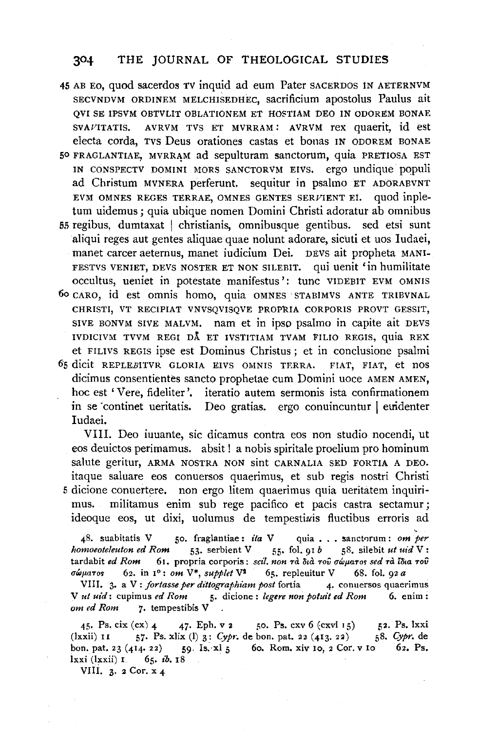- 45 AB Eo, quod sacerdos TV inquid ad eum Pater SACERDOS IN AETERNVM SECVNDVM ORDINEM MELCHISEDHEC, sacrificium apostolus Paulus ait QVI SE IPSVM OBTVLIT OBLATIONEM ET HOSTIAM DEO IN ODOREM BONAE SVAVITATIS. AVRVM TVS ET MVRRAM: AVRVM rex quaerit, id est electa corda, Tvs Deus orationes castas et bonas IN ODOREM BONAE
- 50 FRAGLANTIAE, MVRRAM ad sepulturam sanctorum, quia PRETIOSA EST IN CONSPECTV DOMINI MORS SANCTORVM EIVS. ergo undique populi ad Christum MVNERA perferunt. sequitur in psalmo ET ADORABVNT EVM OMNES REGES TERRAE, OMNES GENTES SERVIENT El. quod inpletum uidemus; quia ubique nomen Domini Christi adoratur ab omnibus
- ss regibus, dumtaxat I christianis, omnibusque gentibus. sed etsi sunt aliqui reges aut gentes aliquae quae nolunt adorare, sicuti et uos ludaei, manet career aeternus, manet iudicium Dei. DEVS ait propheta MANI-FESTVS VENIET, DEVS NOSTER ET NON SILEBIT. qui uenit 'in humilitate occultus, ueniet in potestate manifestus ': tunc VlDEBIT EVM OMNIS
- 6o CARO, id est omnis homo, quia OMNES · STABIMVS ANTE TRlBVNAL CHRISTI, VT RECIPIAT VNVSQVISQVE PROPRIA CORPORIS PROVT GESSIT, SlVE BONVM SIVE MALVM. nam et in ipso psalmo in capite ait DEVS IVDICIVM TVVM REGI DA ET IVSTITIAM TVAM FILIO REGIS, quia REX et FILIVS REGIS ipse est Dominus Christus ; et in conclusione psalmi
- 65 dicit REPLEBITVR GLORIA EIVS OMNIS TERRA. FIAT, FIAT, et nos dicimus consentientes sancto prophetae cum Domini uoce AMEN AMEN. hoc est 'Vere, fideliter'. iteratio autem sermonis ista confirmationem in se continet ueritatis. Deo gratias. ergo conuincuntur leuridenter ludaei.

VIII. Deo iuuante, sic dicamus contra eos non studio nocendi, ut eos deuictos perimamus. absit ! a nobis spiritale proelium pro hominum salute geritur, ARMA NOSTRA NON sint CARNALIA SED FORTIA A DEO. itaque saluare eos conuersos quaerimus, et sub regis nostri Christi 5 dicione conuertere. non ergo litem quaerimus quia ueritatem inquirimus. militamus enim sub rege pacifica et pacis castra sectamur; ideoque eos, ut dixi, uolumus de tempestiuis fluctibus erroris ad

48. suabitatis V 50. fraglantiae: *ita* V quia . . . sanctorum: om per *homoeoteleuton ed Rom* 53· serbient V 55· foL 91 *b* sS. silebit *ut uid* V: tardabit *ed Rom* 61. propria corporis: *sdl. non* Ta ~.a Toil Uwf1aTM *sed* Ta i~.a Toil  $\sigma \omega \mu a \tau$  os 62. in 1°: *om* V<sup>\*</sup>, *supplet* V<sup>2</sup> 65. repleuitur V 68. fol. 92 *a* 

VIII. 3. a V: *fortasse per dittographiam post* fortia 4. conuersos quaerimus V *ut uid:* cupimus *ed Rom* 5· dicione : *legere non potuit ed Rom* 6. enim : *om ed Rom* 7· tempestibis V

45. Ps. cix  $(cx)$  4 47. Eph. v 2 50. Ps. cxv 6  $(cxvi 15)$  52. Ps. lxxi  $(lxxii)$  11 57. Ps. xlix (1) 3: *Cypr.* de bon. pat. 22  $(413. 22)$  58. Cypr. de bon. pat. 23 (414. 22) 59. Is. xl 5 60. Rom. xiv 10, 2 Cor. v 10 62. Ps. lxxi (lxxii) **I** 65. *ib*. **18** 

VIII. 3.  $2$  Cor.  $x_4$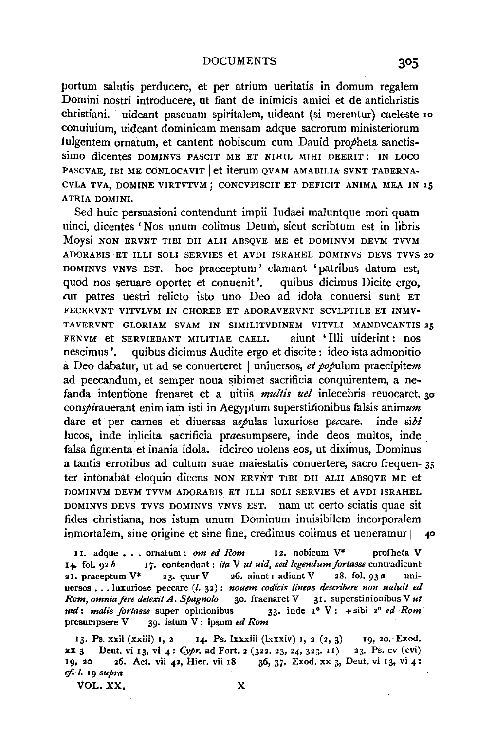DOCUMENTS 305

portum salutis perducere, et per atrium ueritatis in domum regalem Domini nostri introducere, ut fiant de inimicis amici et de antichristis christiani. uideant pascuam spiritalem, uideant (si merentur) caeleste Io conuiuium, uideant dominicam mensam adque sacrorum ministeriorum fulgentem ornatum, et cantent nobiscum cum Dauid propheta sanctissimo dicentes DOMINVS PASCIT ME ET NIHIL MIHI DEERIT: IN LOCO PASCVAE, IBI ME CONLOCAVIT et iterum OVAM AMABILIA SVNT TABERNA-CVLA TVA, DOMINE VIRTVTVM; CONCVPISCIT ET DEFICIT ANIMA MEA IN I5 ATRIA DOMINI.

Sed huic persuasioni contendunt impii Iudaei maluntque mori quam uinci, dicentes 'Nos unum colimus Deum, sicut scribtum est in libris Moysi NON ERVNT TIBI DII ALII ABSQVE ME et DOMINVM DEVM TVVM ADORABIS ET ILLI SOLI SERVIES et AVDI ISRAHEL DOMINVS DEVS TVVS 20 DOMINVS VNVS EST. hoc praeceptum' clamant 'patribus datum est, quod nos seruare oportet et conuenit'. quibus dicimus Dicite ergo, cur patres uestri relicto isto uno Deo ad idola conuersi sunt ET FECERVNT VITVLVM IN CHOREB ET ADORAVERVNT SCVLPTILE ET INMV-TAVERVNT GLORIAM SVAM IN SIMILITVDINEM VITVLI MANDVCANTIS 25 FENVM et SERVIEBANT MILITIAE CAELI. aiunt 'Illi uiderint: nos nescimus '. quibus dicimus Audite ergo et discite: ideo ista admonitio a Deo dabatur, ut ad se conuerteret I uniuersos, *et populum* praecipitem ad peccandum, et semper noua sibimet sacrificia conquirentem, a nefanda intentione frenaret et a uitiis *multis uel* inlecebris reuocaret. 30 conspirauerant enim iam isti in Aegyptum superstitionibus falsis animum dare et per carnes et diuersas aepulas luxuriose peccare. inde *sibi*  lucos, inde inlicita sacrificia praesumpsere, inde deos multos, inde falsa figmenta et inania idola. idcirco uolens eos, ut diximus, Dominus a tantis erroribus ad cultum suae maiestatis conuertere, sacro frequen- 35 ter intonabat eloquio dicens NON ERVNT TIBI DII ALII ABSOVE ME et DOMINVM DEVM TVVM ADORABIS ET ILLI SOLI SERVIES et AVDI ISRAHEL DOMINVS DEVS TVVS DOMINVS VNVS EST. nam Ut certo sciatis quae sit fides christiana, nos istum unum Dominum inuisibilem incorporalem  $in$ mortalem, sine origine et sine fine, credimus colimus et ueneramur  $|$  40

11. adque . . . ornatum : *om ed Rom* 12. nobicum V\* profheta V I+ fol. 92 *b* 17. contendunt: *ita* V *ut uid, sed legendumfortasse* contradicunt 21. praceptum  $V^*$  23. quur V 26. aiunt: adiunt V 28. fol.  $93a$  uniuersos ... luxuriose peccare (l. 32): nouem codicis lineas describere non ualuit ed *Rom, omniafere detexit A. Spagnolo* 30. fraenaret V 31. superstinionibus V *ut*  Jtid: *malis fortasse* super opinionibus 33· in de 1° V: + sibi 2° *ed Rom*  presumpsere V 39· istum V: ipsum *ed Rom* 

13. Ps. xxii (xxiii) 1, 2 14. Ps. lxxxiii (lxxxiv) 1, 2 (2, 3) 19, 20. Exod. **xx** 3 Deut. vi 13, vi 4: *Cypr.* ad Fort. 2 (322. 23, 24, 323. II) 23. Ps. cv (cvi) 19, 20 26. Act. vii 42, Hier. vii 18 36, 37. Exod. xx 3, Deut. vi 13, vi 4: if. *I.* 19 *supra* 

VOL.XX. X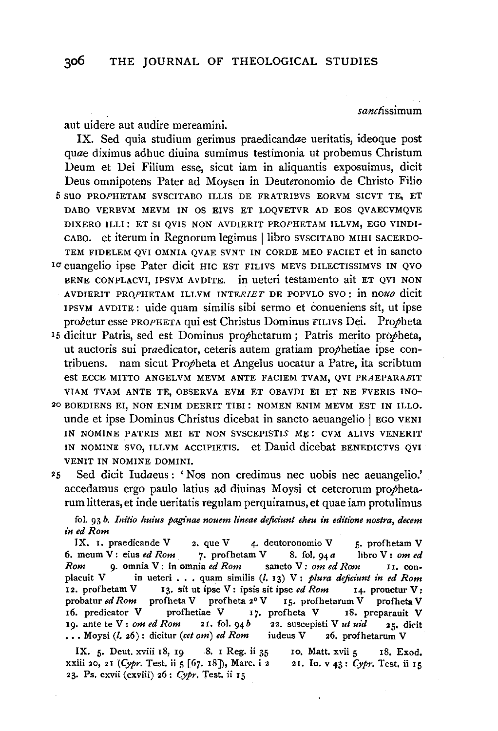sanctissimum

aut uidere aut audire mereamini.

IX. Sed quia studium gerimus praedicandae ueritatis, ideoque post *quae* diximus adhuc diuina sumimus testimonia ut probemus Christum Deum et Dei Filium esse, sicut iam in aliquantis exposuimus, dicit Deus omnipotens Pater ad Moysen in Deuteronomio de Christo Filio 5 SUO PROPHETAM SVSCITABO ILLIS DE FRATRIBVS EORVM SICVT TE, ET DABO VERBVM MEVM IN OS EIVS ET LOQVETVR AD EOS QVAECVMQVE DIXERO ILLI: ET SI QVIS NON AVDIERIT PROPHETAM ILLVM, EGO VINDI· CABO. et iterum in Regnorum legimus | libro SVSCITABO MIHI SACERDO-TEM FIDELEM QVI OMNIA QVAE SVNT IN CORDE MEO FACIET et in sancto <sup>10</sup> euangelio ipse Pater dicit HIC EST FILIVS MEVS DILECTISSIMVS IN QVO

- BENE CONPLACVI, IPSVM AVDITE. in ueteri testamento ait ET QV! NON AVDIERIT PRO)'HETAM ILLVM lNTER!ET DE POPVLO SVO: in *nouo* dicit IPSVM AVDITE: uide quam similis sibi sermo et conueniens sit, ut ipse probetur esse PROPHETA qui est Christus Dominus FILIVS Dei. Propheta
- <sup>15</sup> dicitur Patris, sed est Dominus prophetarum : Patris merito propheta, ut auctoris sui praedicator, ceteris autem gratiam propheiiae ipse contribuens. nam sicut Propheta et Angelus uocatur a Patre, ita scribtum est ECCE MITTO ANGELVM MEVM ANTE FACIEM TVAM, QVI PRAEPARABIT VIAM TVAM ANTE TE, OBSERVA EVM ET OBAVDI El ET NE FVERIS INO·
- 20 BOEDIENS El, NON ENIM DEERIT TIBI : NOMEN ENIM MEVM EST IN ILLO. unde et ipse Dominus Christus dicebat in sancto aeuangelio | EGO VENI IN NOMINE PATRIS MEI ET NON SVSCEPISTIS ME: CVM ALIVS VENERIT IN NOMINE SVO, ILLVM ACCIPIETIS. et Dauid dicebat BENEDICTVS QVI VENIT IN NOMINE DOMINI.
- <sup>25</sup>Sed dicit Iudaeus: 'Nos non credimus nee uobis nee aeuangelio.' accedamus ergo paulo latius ad diuinas Moysi et ceterorum prophetarum Iitteras, et inde ueritatis regulam perquiramus, et quae iam protulimus

fol. 93 *b. Initio huius paginae nouem lineae deficiunt eheu in editione nostra, decem in ed Rom* 

IX. I. praedicande V 2. que V 4. deutoronomio V 5. profhetam V 6. meum V: eius *ed Rom* 7• profhetam V S. fol. 94 *a* libro V: *om ed Rom* 9· omnia V: in omnia *ed Rom* sancto V: *om ed Rom* II. conplacuit V in ueteri . . . quam similis (l. 13) V: *plura deficiunt in ed Rom* 12. profhetam V 13. sit ut ipse V: ipsis sit ipse *ed Rom* 14. prouetur V: probatur *ed Rom* profheta V profheta 2° V 15. profhetarum V profheta V I6. predicator V profhetiae V 17. profheta V 1S. preparauit V 19. ante te V: om ed Rom 21. fol. 94  $b$  22. suscepisti V *ut uid* 25. dicit  $\ldots$  Moysi (*l.* 26): dicitur *(cet om) ed Rom* iudeus V 26. profhetarum V

 $X \times E$ . Deut. xviii 18, IO.  $S$ . I Reg. ii 25 ID. Matt. xvii  $\epsilon$  IS. Exod. xxii 30, 21 *(Cypr. Test. ii 5 [67, 18]*), Marc. i 2 21 Jo. v 43: *Cypr*. Test. ii Ir 23. Ps. cxvii (cxviii) 26: *Cypr.* Test. ii 15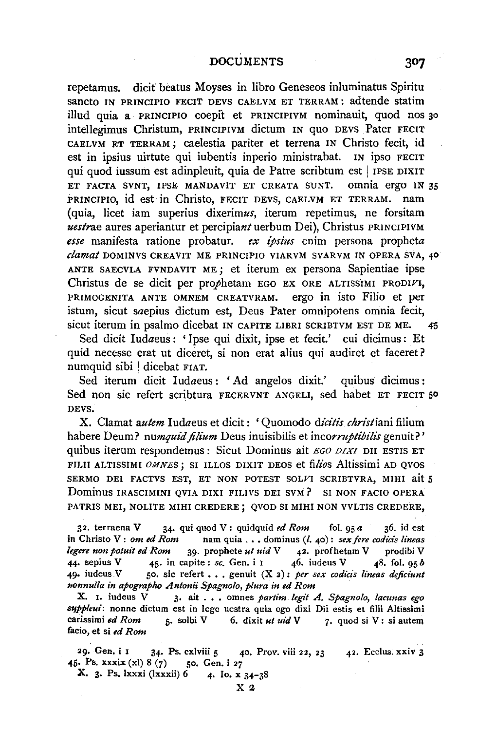repetamus. dicit beatus Moyses in libro Geneseos inluminatus Spiritu sancto IN PRINCIPIO FECIT DEVS CAELVM ET TERRAM: adtende statim illud quia a PRINCIPIO coepii: et PRINCIPIVM nominauit, quod nos 30 intellegimus Christum, PRINCIPIVM dictum IN quo DEVS Pater FECIT CAELVM ET TERRAM; caelestia pariter et terrena IN Christo fecit, id est in ipsius uirtute qui iubentis inperio ministrabat. IN ipso FECIT qui quod iussum est adinpleuit, quia de Patre scribtum est | IPSE DIXIT ET FACTA SVNT, IPSE MANDAVIT ET CREATA SUNT. omnia ergo IN 35 PRINCIPIO, id est in Christo, FECIT DEVS, CAELVM ET TERRAM. nam (quia, licet iam superius dixerimus, iterum repetimus, ne forsitam *uestrae* aures aperiantur et percipiantuerbum Dei), Christus PRINCIPIVM *esse* manifesta ratione probatur. *ex ipsius* enim persona propheta *c/amaf* DOMINVS CREAVIT ME PRINCIPIO VIARVM SVARVM IN OPERA SVA, *40*  ANTE SAECVLA FVNDAVIT ME; et iterum ex persona Sapientiae ipse Christus de se dicit per prophetam EGO EX ORE ALTISSIMI PRODIVI, PRIMOGENITA ANTE OMNEM CREATVRAM. ergo in isto Filio et per istum, sicut saepius dictum est, Deus Pater omnipotens omnia fecit, sicut iterum in psalmo dicebat IN CAPITE LIBRI SCRIBTVM EST DE ME. *45* 

Sed dicit Iudaeus: 'Ipse qui dixit, ipse et fecit.' cui dicimus: Et quid necesse erat ut diceret, si non erat alius qui audiret et faceret? numquid sibi | dicebat FIAT.

Sed iterum dicit Iudaeus: 'Ad angelos dixit.' quibus dicimus: Sed non sic refert scribtura FECERVNT ANGELI, sed habet ET FECIT 50 DEVS.

X. Clamat *autem* Iudaeus et dicit : 'Quomodo *dicitis christiani* filium habere Deum? *numquid filium* Deus inuisibilis et *incorruptibilis* genuit?' quibus iterum respondemus : Sicut Dominus ait *EGO DIXI* DII ESTIS ET FILII ALTISSIMI *OMNES*; SI ILLOS DIXIT DEOS et filios Altissimi AD QVOS SERMO DEI FACTVS EST, ET NON POTEST SOLVI SCRIBTVRA, MIHI ait 5 Dominus IRASCIMINI QVIA DIXI FILIVS DEI SVM? SI NON FACIO OPERA PATRIS MEI, NOLITE MIHI CREDERE j QVOD SI MIHI NON VVLTJS CREDERE,

32. terraena V 34· qui quod V: quidquid *ed Rom* fol. 95 *a* 36. id est in Christo V: *om ed Rom* nam quia ..• dominus(/. 40): *sexfere codicis lineas legere non potuit ed Rom* 39- prophete *ut uid* V 42. profhetam V prodibi V 44. sepius V  $\begin{array}{r} 45. \text{ in } \text{capite}: \text{ } s \text{.} \text{ Gen. i } \text{I} \qquad \text{ } 46. \text{ } \text{index } \text{V} \qquad \text{ } 48. \text{ } \text{fol. } \text{ } 95 \text{ } b \end{array}$ 49. iudeus V 50. sic refert . . . genuit  $(X_2)$ : *per sex codicis lineas deficiunt nonnulla in apographo Antonii Spagnolo, plura in ed Rom* 

X. I. iudeus V<sub>3</sub>. ait . . . omnes *partim. legit A. Spagnolo, lacunas ego S'JPPleui:* nonne dictum est in lege uestra quia ego dixi Dii estis et filii Altissimi carissimi *ed Rom* 5· solbi V 6. dixit *ut uid* V 7• quod si V: si autem facio, et si *ed Rom* 

29. Gen. i 1 34. Ps. cxlviii 5 40. Prov. viii 22, 23 42. Ecelus. xxiv 3 45· Ps. xxxix (xi) 8 (7) :;o. Gen. i *27* 

**X.** 3. Ps. lxxxi (lxxxii)  $6$  4. Io. x  $34-38$ 

307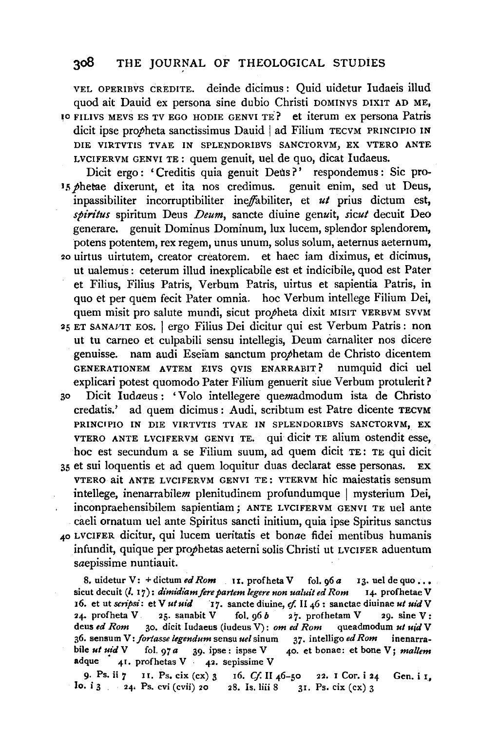VEL OPERIBVS CREDITE. deinde dicimus: Quid uidetur Iudaeis illud quod ait Dauid ex persona sine dubio Christi DOMINVS DIXIT AD ME, 10 FILIVS MEVS ES TV EGO HODIE GENVI TE? et iterum ex persona Patris dicit ipse propheta sanctissimus Dauid | ad Filium TECVM PRINCIPIO IN DIE VIRTVTIS TVAE IN SPLENDORIBVS SANCTORVM, EX VTERO ANTE LVCIFERVM GENVI TE: quem genuit, uel de quo, dicat Iudaeus.

Dicit ergo : 'Creditis quia genuit Deus?' respondemus : Sic pro-15 phetae dixerunt, et ita nos credimus, genuit enim, sed ut Deus, inpassibiliter incorruptibiliter ineffabiliter, et *ut* prius dictum est, *spiritus* spiritum Deus *Deum,* sancte diuine genuit, *sicut* decuit Deo generare. genuit Dominus Dominum, lux lucem, splendor splendorem, potens potentem, rex regem, unus unum, solus solum, aeternus aeternum, 2o uirtus uirtutem, creator creatorem. et haec iam diximus, et dicimus, ut ualemus : ceterum illud inexplicabile est et indicibile, quod est Pater et Filius, Filius Patris, Verbum Patris, uirtus et sapientia Patris, in quo et per quem fecit Pater omnia. hoc Verbum intellege Filium Dei, quem misit pro salute mundi, sicut propheta dixit MISIT VERBVM SVVM 25 ET SANAVIT EOS. I ergo Filius Dei dicitur qui est Verbum Patris: non ut tu cameo et culpabili sensu intellegis, Deum carnaliter nos dicere genuisse. nam audi Eseiam sanctum prophetam de Christo dicentem GENERATIONEM AVTEM EIVS QVIS ENARRABIT? numquid dici uel explicari potest quomodo Pater Filium genuerit siue Verbum protulerit? 30 Dicit Iudaeus : 'Volo intellegere quemadmodum ista de Christo credatis.' ad quem dicimus : Audi, scribtum est Patre dicente TECVM PRINCIPIO IN DIE VIRTVTIS TVAE IN SPLENDORIBVS SANCTORVM, EX VTERO ANTE LVCIFERVM GENVI TE. qui dicit TE alium ostendit esse,

hoc est secundum a se Filium suum, ad quem dicit TE: TE qui dicit 35 et sui loquentis et ad quem loquitur duas declarat esse personas. EX VTERO ait ANTE LVCIFERVM GENVI TE: VTERVM hie maiestatis sensum intellege, inenarrabilem plenitudinem profundumque | mysterium Dei, inconpraehensibilem sapientiam; ANTE LVCIFERVM GENVI TE uel ante caeli ornatum uel ante Spiritus sancti initium, quia ipse Spiritus sanctus 4o LVCIFER dicitur, qui lucem ueritatis et bonae fidei mentibus humanis infundit, quique per prophetas aeterni solis Christi ut LVCIFER aduentum saepissime nuntiauit.

8. uidetur V: + dictum *ed Rom* 11. profheta V fol. 96 *a* 13. uel de quo ... sicut decuit (l. 17): *dimidiam fere partem legere non ualuit ed Rom* 14. profhetae V 16. et ut *scripsi*: et V *ut uid* 17. sancte diuine, cf. II 46 : sanctae diuinae *ut uid* V 24. profheta V 25. sanabit V fol. 96 *b* 27. profhetam V 29. sine V: deus *ed Rom* 30. dicit ludaeus (iudeus V): *om ed Rom* queadmodum *ut uid* V 36. sensum V: *fortasse legendum* sensu *uel* sinum 37. intelligo *ed Rom* inenarrabile *ut uid* V fol. 97 *a* 39. ipse: ispse V 40. et bonae: et bone V; *mallem*  $\text{adque}$  41. profhetas V 42. sepissime V

9· Ps. ii *7* 11. Ps, cix (ex) 3 16. *Cf* 11 46-50 22. I Cor. i 24 Gen. i 1, lo. i 3 24. Ps. cvi (cvii) 20 28. Is. liii 8 31. Ps. cix (cx) 3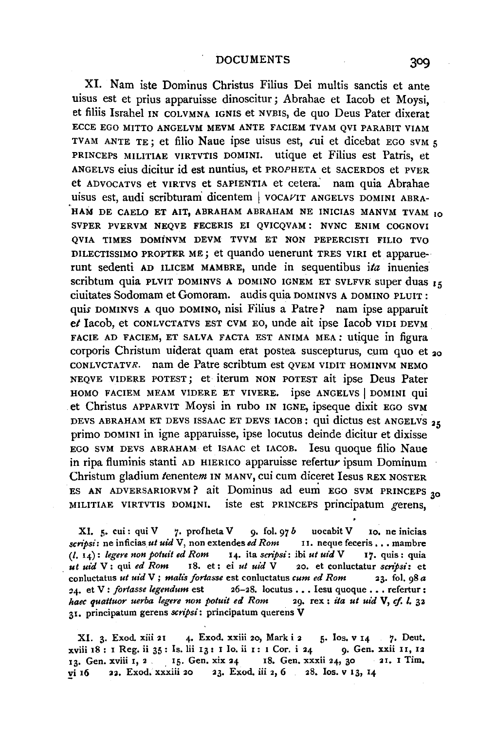XI. Nam iste Dominus Christus Filius Dei multis sanctis et ante uisus est et prius apparuisse dinoscitur ; Abrahae et lacob et Moysi, et filiis Israhel IN COLVMNA IGNIS et NVBIS, de quo Deus Pater dixerat ECCE EGO MITTO ANGELVM MEVM ANTE FACIEM TVAM QVI PARABIT VIAM TVAM ANTE TE; et filio Naue ipse uisus est, *cui* et dicebat EGO SVM 5 PRINCEPS MILITIAE VIRTVTIS DOMINI. utique et Filius est Patris, et ANGELVS eius dicitur id est nuntius, et PROPHETA et SACERDOS et PVER et ADVOCATVS et VIRTVS et SAPIENTIA et cetera.' nam quia Abrahae uisus est, audi scribturam dicentem | VOCAVIT ANGELVS DOMINI ABRA-HAM DE CAELO ET AIT, ABRAHAM ABRAHAM NE INICIAS MANVM TVAM 10 SVPER PVERVM NEQVE FECERIS El QVICQVAM: NVNC ENIM COGNOVI QVIA TIMES DOMiNVM DEVM TVVM ET NON PEPERCISTI FILIO TVO DILECTISSIMO PROPTER ME; et quando uenerunt TRES VIR! et apparuerunt sedenti AD ILICEM MAMBRE, unde in sequentibus *ita* inuenies scribtum quia PLVIT DOMINVS A DOMINO IGNEM ET SVLFVR super duas 15 ciuitates Sodomam et Gomoram. audis quia DOMINVS A DOMINO PLUIT : quis DOMINVS A quo DOMINO, nisi Filius a Patre? nam ipse apparuit *et* Jacob, et CONLVCTATVS EST CVM EO, unde ait ipse Jacob VIDI DEVM FACIE AD FACIEM, ET SALVA FACTA EST ANIMA MEA: utique in figura corporis Christum uiderat quam erat postea suscepturus, cum quo et 20 CONLUCTATVR. nam de Patre scribtum est OVEM VIDIT HOMINVM NEMO NEQVE VIDERE POTEST; et· iterum NON POTEST ait ipse Deus Pater HOMO FACIEM MEAM VIDERE ET VIVERE. ipse ANGELVS | DOMINI qui et Christus APPARVIT Moysi in rubo IN IGNE, ipseque dixit EGO SVM DEVS ABRAHAM ET DEVS ISSAAC ET DEVS IACOB: qui dictus est ANGELVS 25 primo DOMINI in igne apparuisse, ipse locutus deinde dicitur et dixisse EGO SVM DEVS ABRAHAM et ISAAC et IACOB. Jesu quoque filio Naue in ripa fiuminis stanti AD HIERICO apparuisse refertur ipsum Dominum Christum gladium tenentem IN MANV, cui cum diceret Iesus REX NOSTER ES AN ADVERSARIORVM? ait Dominus ad eum EGO SVM PRINCEPS  $_{20}$ MILITIAE VIRTVTIS DOMINI. iste est PRINCEPS principatum gerens,

XI. 5. cui: qui V 7. profheta V 9. fol. 97 *b* uocabit V 10. ne inicias *scripsi*: ne inficias *ut uid* V, non extendes *ed Rom* II. neque feceris . . . mambre (I. 14): *legere non potuit ed Rom* I4. ita *scripsi:* ibi *ut uid* V I7. quis: quia *ut uid* V: qui *ed Rom* I8. et: ei *ut uid* V 20. et conluctatur *scnpsi:* et conluctatus *ut uid* V; *malts forlasse* est conluctatus *cum ed Rom* 23. fol. 98 *a*  :14. et V : *jorlasse legendum* est 26-28. loculus ••• Iesu quoque ••• refertur: *haec quattuor uerba legere non potuit ed Rom* 29. rex : *ita ut uid* V, *cf. I.* 32 31. principatum gerens *scripsi:* principatum querens V

XI. 3. Exod. xiii 21 4. Exod. xxiii 20, Mark i 2 5. Ios. v 14 7. Deut. xviii 18 : I Reg. ii 35 : Is. lii 13 : I lo. ii 1 : 1 Cor. i 24 9. Gen. xxii 11, 12 I3· Gen. xviii I, 2 . 15. Gen. xix 24 I8. Gen. xxxii 24, 30 21. I Tim, vi 16 22. Exod. xxxiii 20 23. Exod. iii 2, 6 28. Ios. v 13, 14